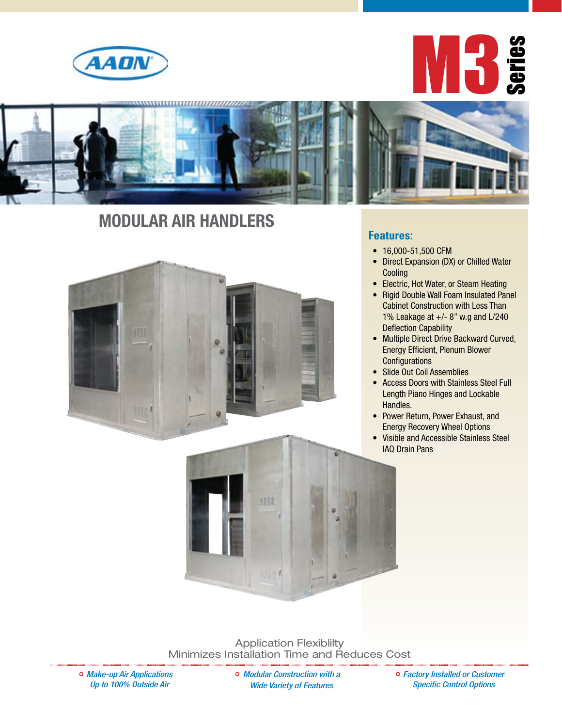





## **Modular air handlers**



#### **Features:**

- 16,000-51,500 CFM
- Direct Expansion (DX) or Chilled Water **Cooling**
- Electric, Hot Water, or Steam Heating
- Rigid Double Wall Foam Insulated Panel Cabinet Construction with Less Than 1% Leakage at +/- 8" w.g and L/240 Deflection Capability
- Multiple Direct Drive Backward Curved, Energy Efficient, Plenum Blower **Configurations**
- Slide Out Coil Assemblies
- Access Doors with Stainless Steel Full Length Piano Hinges and Lockable Handles.
- Power Return, Power Exhaust, and Energy Recovery Wheel Options
- • Visible and Accessible Stainless Steel IAQ Drain Pans

Application Flexiblilty Minimizes Installation Time and Reduces Cost

HIL

*Make-up Air Applications Up to 100% Outside Air* 

*Modular Construction with a Wide Variety of Features* 

*Factory Installed or Customer Specific Control Options*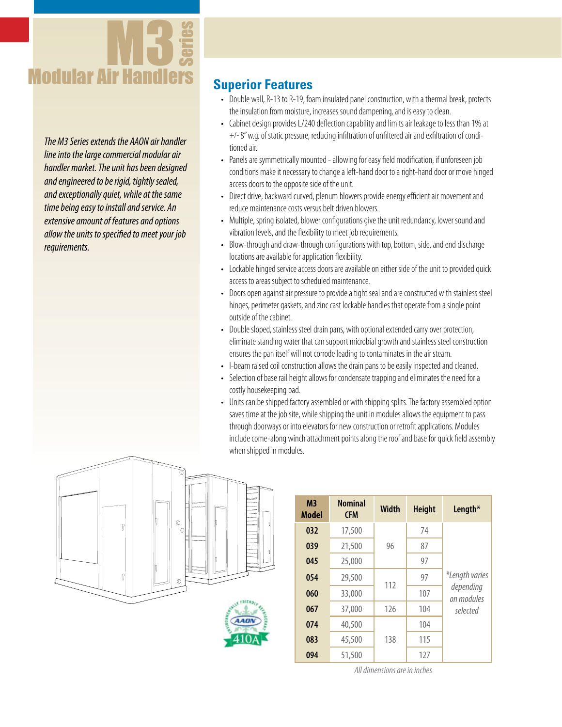

*The M3 Series extends the AAON air handler line into the large commercial modular air handler market. The unit has been designed and engineered to be rigid, tightly sealed, and exceptionally quiet, while at the same time being easy to install and service. An extensive amount of features and options allow the units to specified to meet your job requirements.*

### **Superior Features**

- Double wall, R-13 to R-19, foam insulated panel construction, with a thermal break, protects the insulation from moisture, increases sound dampening, and is easy to clean.
- Cabinet design provides L/240 deflection capability and limits air leakage to less than 1% at +/-8"w.g. of static pressure, reducing infiltration of unfiltered air and exfiltration of conditioned air.
- Panels are symmetrically mounted allowing for easy field modification, if unforeseen job conditions make it necessary to change a left-hand door to a right-hand door or move hinged access doors to the opposite side of the unit.
- Direct drive, backward curved, plenum blowers provide energy efficient air movement and reduce maintenance costs versus belt driven blowers.
- Multiple, spring isolated, blower configurations give the unit redundancy, lower sound and vibration levels, and the flexibility to meet job requirements.
- Blow-through and draw-through configurations with top, bottom, side, and end discharge locations are available for application flexibility.
- Lockable hinged service access doors are available on either side of the unit to provided quick access to areas subject to scheduled maintenance.
- Doors open against air pressure to provide a tight seal and are constructed with stainless steel hinges, perimeter gaskets, and zinc cast lockable handles that operate from a single point outside of the cabinet.
- Double sloped, stainless steel drain pans, with optional extended carry over protection, eliminate standing water that can support microbial growth and stainless steel construction ensures the pan itself will not corrode leading to contaminates in the air steam.
- I-beam raised coil construction allows the drain pans to be easily inspected and cleaned.
- Selection of base rail height allows for condensate trapping and eliminates the need for a costly housekeeping pad.
- Units can be shipped factory assembled or with shipping splits. The factory assembled option saves time at the job site, while shipping the unit in modules allows the equipment to pass through doorways or into elevators for new construction or retrofit applications. Modules include come-along winch attachment points along the roof and base for quick field assembly when shipped in modules.





*All dimensions are in inches*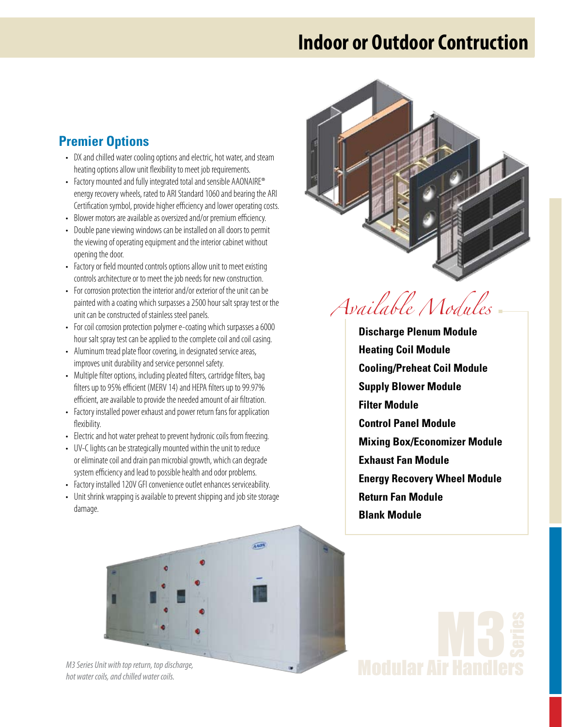## **Indoor or Outdoor Contruction**

## **Premier Options**

- DX and chilled water cooling options and electric, hot water, and steam heating options allow unit flexibility to meet job requirements.
- Factory mounted and fully integrated total and sensible AAONAIRE® energy recovery wheels, rated to ARI Standard 1060 and bearing the ARI Certification symbol, provide higher efficiency and lower operating costs.
- Blower motors are available as oversized and/or premium efficiency.
- Double pane viewing windows can be installed on all doors to permit the viewing of operating equipment and the interior cabinet without opening the door.
- Factory or field mounted controls options allow unit to meet existing controls architecture or to meet the job needs for new construction.
- For corrosion protection the interior and/or exterior of the unit can be painted with a coating which surpasses a 2500 hour salt spray test or the unit can be constructed of stainless steel panels.
- For coil corrosion protection polymer e-coating which surpasses a 6000 hour salt spray test can be applied to the complete coil and coil casing.
- Aluminum tread plate floor covering, in designated service areas, improves unit durability and service personnel safety.
- Multiple filter options, including pleated filters, cartridge filters, bag filters up to 95% efficient (MERV 14) and HEPA filters up to 99.97% efficient, are available to provide the needed amount of air filtration.
- Factory installed power exhaust and power return fans for application flexibility.
- Electric and hot water preheat to prevent hydronic coils from freezing.
- UV-C lights can be strategically mounted within the unit to reduce or eliminate coil and drain pan microbial growth, which can degrade system efficiency and lead to possible health and odor problems.
- Factory installed 120V GFI convenience outlet enhances serviceability.
- Unit shrink wrapping is available to prevent shipping and job site storage damage.



*Available Modules*

**Discharge Plenum Module Heating Coil Module Cooling/Preheat Coil Module Supply Blower Module Filter Module Control Panel Module Mixing Box/Economizer Module Exhaust Fan Module Energy Recovery Wheel Module Return Fan Module Blank Module**



*M3 Series Unit with top return, top discharge, hot water coils, and chilled water coils.*